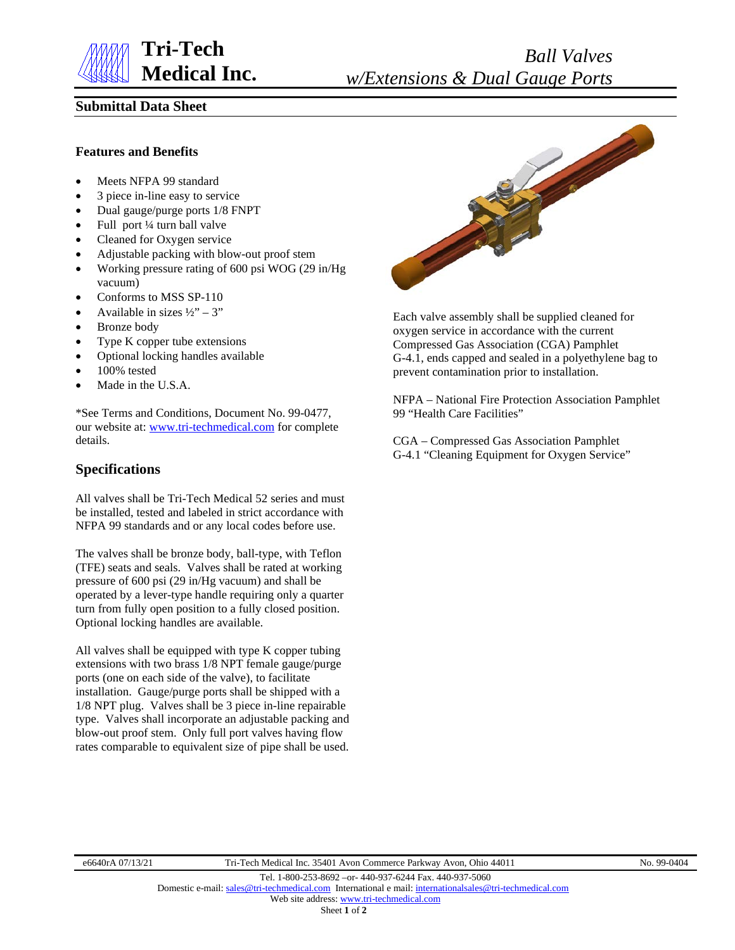

# **Submittal Data Sheet**

## **Features and Benefits**

- Meets NFPA 99 standard
- 3 piece in-line easy to service
- Dual gauge/purge ports 1/8 FNPT
- Full port 1/4 turn ball valve
- Cleaned for Oxygen service
- Adjustable packing with blow-out proof stem
- Working pressure rating of 600 psi WOG (29 in/Hg vacuum)
- Conforms to MSS SP-110
- Available in sizes  $\frac{1}{2}$  3"
- Bronze body
- Type K copper tube extensions
- Optional locking handles available
- 100% tested
- Made in the U.S.A.

\*See Terms and Conditions, Document No. 99-0477, our website at: [www.tri-techmedical.com](http://www.tri-techmedical.com/) for complete details.

## **Specifications**

All valves shall be Tri-Tech Medical 52 series and must be installed, tested and labeled in strict accordance with NFPA 99 standards and or any local codes before use.

The valves shall be bronze body, ball-type, with Teflon (TFE) seats and seals. Valves shall be rated at working pressure of 600 psi (29 in/Hg vacuum) and shall be operated by a lever-type handle requiring only a quarter turn from fully open position to a fully closed position. Optional locking handles are available.

All valves shall be equipped with type K copper tubing extensions with two brass 1/8 NPT female gauge/purge ports (one on each side of the valve), to facilitate installation. Gauge/purge ports shall be shipped with a 1/8 NPT plug. Valves shall be 3 piece in-line repairable type. Valves shall incorporate an adjustable packing and blow-out proof stem. Only full port valves having flow rates comparable to equivalent size of pipe shall be used.



Each valve assembly shall be supplied cleaned for oxygen service in accordance with the current Compressed Gas Association (CGA) Pamphlet G-4.1, ends capped and sealed in a polyethylene bag to prevent contamination prior to installation.

NFPA – National Fire Protection Association Pamphlet 99 "Health Care Facilities"

CGA – Compressed Gas Association Pamphlet G-4.1 "Cleaning Equipment for Oxygen Service"